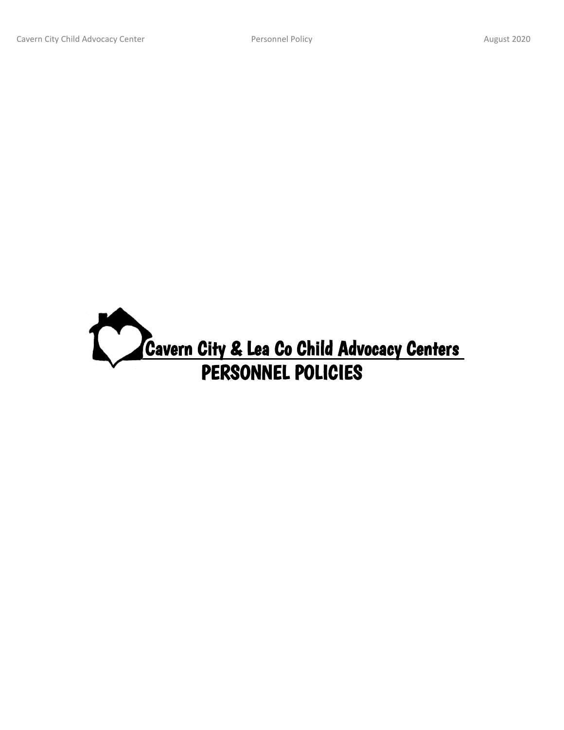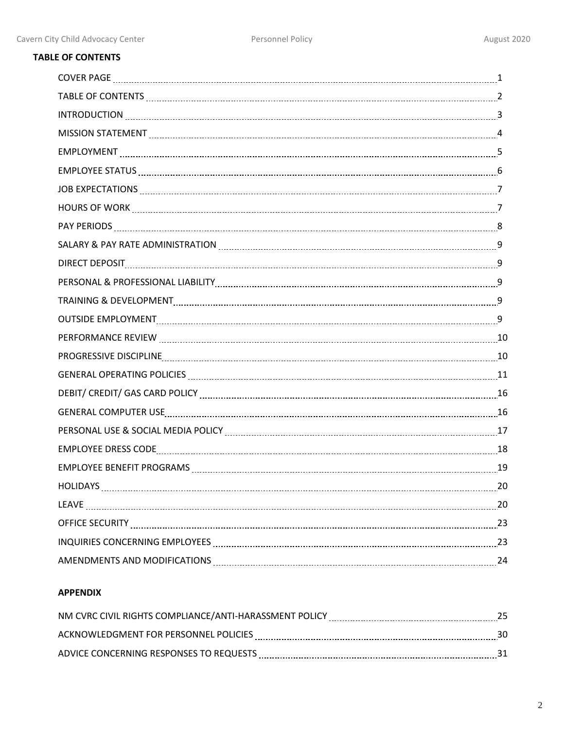# **TABLE OF CONTENTS**

| SALARY & PAY RATE ADMINISTRATION MARKET MARKET AND THE REAL PAY OF THE MELTIC MELTIC MELTIC MELTIC MELTIC MELT  |  |
|-----------------------------------------------------------------------------------------------------------------|--|
|                                                                                                                 |  |
|                                                                                                                 |  |
|                                                                                                                 |  |
|                                                                                                                 |  |
|                                                                                                                 |  |
| PROGRESSIVE DISCIPLINE 10                                                                                       |  |
|                                                                                                                 |  |
|                                                                                                                 |  |
| GENERAL COMPUTER USE Entertainment and the contract of the USE of the USE of the COMPUTER USE of the contract o |  |
|                                                                                                                 |  |
| EMPLOYEE DRESS CODE [ [ [ [ [ ] ] ] 3                                                                           |  |
|                                                                                                                 |  |
|                                                                                                                 |  |
|                                                                                                                 |  |
|                                                                                                                 |  |
| INQUIRIES CONCERNING EMPLOYEES MARIELLE ENTERTAINMENT PARAGETERS CONCERNING EMPLOYEES                           |  |
| AMENDMENTS AND MODIFICATIONS MARKET AND ACCORDING THE 24                                                        |  |

# **APPENDIX**

| NM CVRC CIVIL RIGHTS COMPLIANCE/ANTI-HARASSMENT POLICY |  |
|--------------------------------------------------------|--|
| ACKNOWLEDGMENT FOR PERSONNEL POLICIES                  |  |
| ADVICE CONCERNING RESPONSES TO REQUESTS                |  |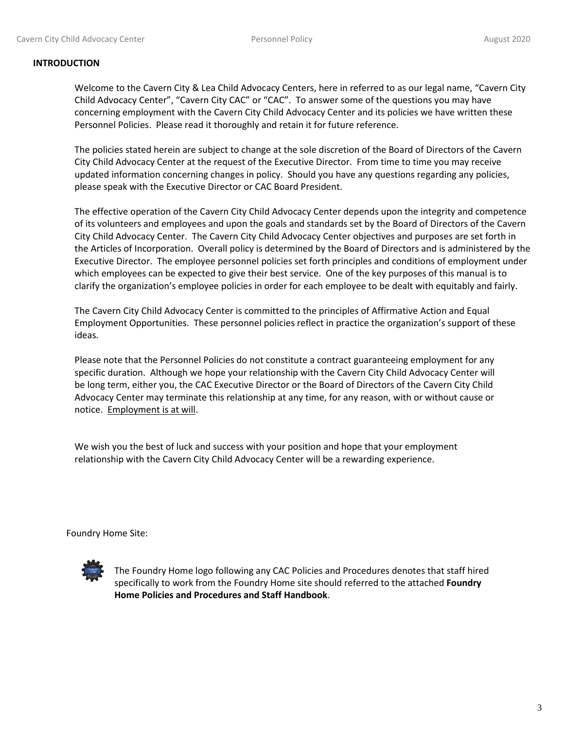### **INTRODUCTION**

Welcome to the Cavern City & Lea Child Advocacy Centers, here in referred to as our legal name, "Cavern City Child Advocacy Center", "Cavern City CAC" or "CAC". To answer some of the questions you may have concerning employment with the Cavern City Child Advocacy Center and its policies we have written these Personnel Policies. Please read it thoroughly and retain it for future reference.

The policies stated herein are subject to change at the sole discretion of the Board of Directors of the Cavern City Child Advocacy Center at the request of the Executive Director. From time to time you may receive updated information concerning changes in policy. Should you have any questions regarding any policies, please speak with the Executive Director or CAC Board President.

The effective operation of the Cavern City Child Advocacy Center depends upon the integrity and competence of its volunteers and employees and upon the goals and standards set by the Board of Directors of the Cavern City Child Advocacy Center. The Cavern City Child Advocacy Center objectives and purposes are set forth in the Articles of Incorporation. Overall policy is determined by the Board of Directors and is administered by the Executive Director. The employee personnel policies set forth principles and conditions of employment under which employees can be expected to give their best service. One of the key purposes of this manual is to clarify the organization's employee policies in order for each employee to be dealt with equitably and fairly.

The Cavern City Child Advocacy Center is committed to the principles of Affirmative Action and Equal Employment Opportunities. These personnel policies reflect in practice the organization's support of these ideas.

Please note that the Personnel Policies do not constitute a contract guaranteeing employment for any specific duration. Although we hope your relationship with the Cavern City Child Advocacy Center will be long term, either you, the CAC Executive Director or the Board of Directors of the Cavern City Child Advocacy Center may terminate this relationship at any time, for any reason, with or without cause or notice. Employment is at will.

We wish you the best of luck and success with your position and hope that your employment relationship with the Cavern City Child Advocacy Center will be a rewarding experience.

Foundry Home Site:



The Foundry Home logo following any CAC Policies and Procedures denotes that staff hired specifically to work from the Foundry Home site should referred to the attached **Foundry Home Policies and Procedures and Staff Handbook**.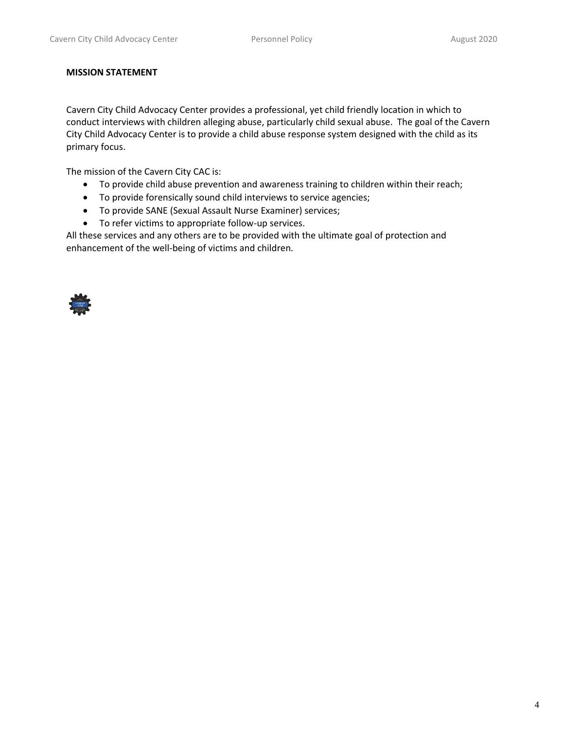### **MISSION STATEMENT**

Cavern City Child Advocacy Center provides a professional, yet child friendly location in which to conduct interviews with children alleging abuse, particularly child sexual abuse. The goal of the Cavern City Child Advocacy Center is to provide a child abuse response system designed with the child as its primary focus.

The mission of the Cavern City CAC is:

- To provide child abuse prevention and awareness training to children within their reach;
- To provide forensically sound child interviews to service agencies;
- To provide SANE (Sexual Assault Nurse Examiner) services;
- To refer victims to appropriate follow-up services.

All these services and any others are to be provided with the ultimate goal of protection and enhancement of the well-being of victims and children.

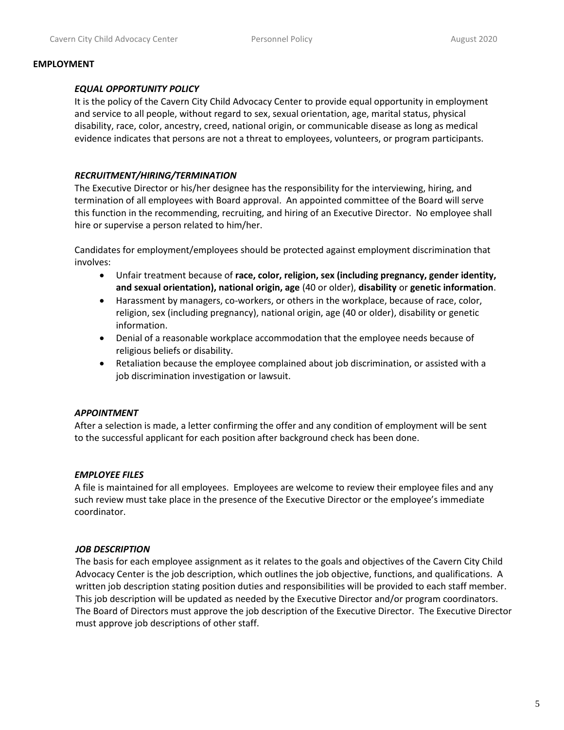#### **EMPLOYMENT**

### *EQUAL OPPORTUNITY POLICY*

It is the policy of the Cavern City Child Advocacy Center to provide equal opportunity in employment and service to all people, without regard to sex, sexual orientation, age, marital status, physical disability, race, color, ancestry, creed, national origin, or communicable disease as long as medical evidence indicates that persons are not a threat to employees, volunteers, or program participants.

### *RECRUITMENT/HIRING/TERMINATION*

The Executive Director or his/her designee has the responsibility for the interviewing, hiring, and termination of all employees with Board approval. An appointed committee of the Board will serve this function in the recommending, recruiting, and hiring of an Executive Director. No employee shall hire or supervise a person related to him/her.

Candidates for employment/employees should be protected against employment discrimination that involves:

- Unfair treatment because of **race, color, religion, sex (including pregnancy, gender identity, and sexual orientation), national origin, age** (40 or older), **disability** or **genetic information**.
- Harassment by managers, co-workers, or others in the workplace, because of race, color, religion, sex (including pregnancy), national origin, age (40 or older), disability or genetic information.
- Denial of a reasonable workplace accommodation that the employee needs because of religious beliefs or disability.
- Retaliation because the employee complained about job discrimination, or assisted with a job discrimination investigation or lawsuit.

### *APPOINTMENT*

After a selection is made, a letter confirming the offer and any condition of employment will be sent to the successful applicant for each position after background check has been done.

### *EMPLOYEE FILES*

A file is maintained for all employees. Employees are welcome to review their employee files and any such review must take place in the presence of the Executive Director or the employee's immediate coordinator.

### *JOB DESCRIPTION*

The basis for each employee assignment as it relates to the goals and objectives of the Cavern City Child Advocacy Center is the job description, which outlines the job objective, functions, and qualifications. A written job description stating position duties and responsibilities will be provided to each staff member. This job description will be updated as needed by the Executive Director and/or program coordinators. The Board of Directors must approve the job description of the Executive Director. The Executive Director must approve job descriptions of other staff.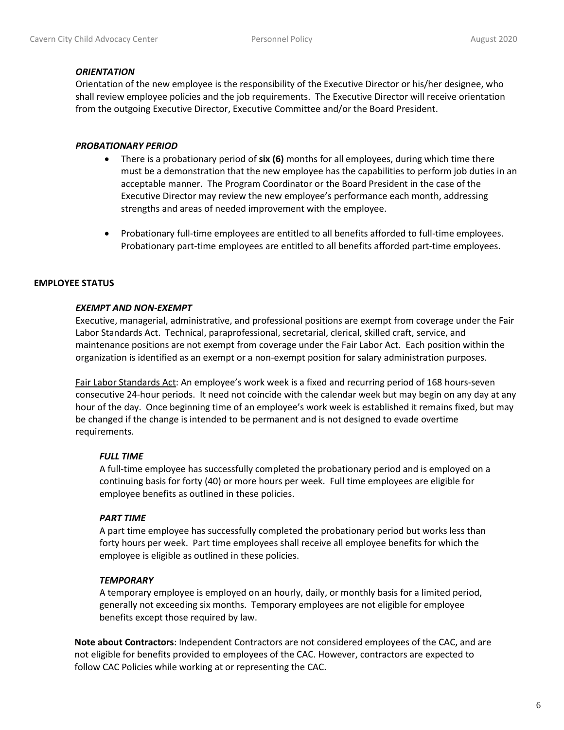#### *ORIENTATION*

Orientation of the new employee is the responsibility of the Executive Director or his/her designee, who shall review employee policies and the job requirements. The Executive Director will receive orientation from the outgoing Executive Director, Executive Committee and/or the Board President.

#### *PROBATIONARY PERIOD*

- There is a probationary period of **six (6)** months for all employees, during which time there must be a demonstration that the new employee has the capabilities to perform job duties in an acceptable manner. The Program Coordinator or the Board President in the case of the Executive Director may review the new employee's performance each month, addressing strengths and areas of needed improvement with the employee.
- Probationary full-time employees are entitled to all benefits afforded to full-time employees. Probationary part-time employees are entitled to all benefits afforded part-time employees.

### **EMPLOYEE STATUS**

### *EXEMPT AND NON-EXEMPT*

Executive, managerial, administrative, and professional positions are exempt from coverage under the Fair Labor Standards Act. Technical, paraprofessional, secretarial, clerical, skilled craft, service, and maintenance positions are not exempt from coverage under the Fair Labor Act. Each position within the organization is identified as an exempt or a non-exempt position for salary administration purposes.

Fair Labor Standards Act: An employee's work week is a fixed and recurring period of 168 hours-seven consecutive 24-hour periods. It need not coincide with the calendar week but may begin on any day at any hour of the day. Once beginning time of an employee's work week is established it remains fixed, but may be changed if the change is intended to be permanent and is not designed to evade overtime requirements.

#### *FULL TIME*

A full-time employee has successfully completed the probationary period and is employed on a continuing basis for forty (40) or more hours per week. Full time employees are eligible for employee benefits as outlined in these policies.

#### *PART TIME*

A part time employee has successfully completed the probationary period but works less than forty hours per week. Part time employees shall receive all employee benefits for which the employee is eligible as outlined in these policies.

### *TEMPORARY*

A temporary employee is employed on an hourly, daily, or monthly basis for a limited period, generally not exceeding six months. Temporary employees are not eligible for employee benefits except those required by law.

**Note about Contractors**: Independent Contractors are not considered employees of the CAC, and are not eligible for benefits provided to employees of the CAC. However, contractors are expected to follow CAC Policies while working at or representing the CAC.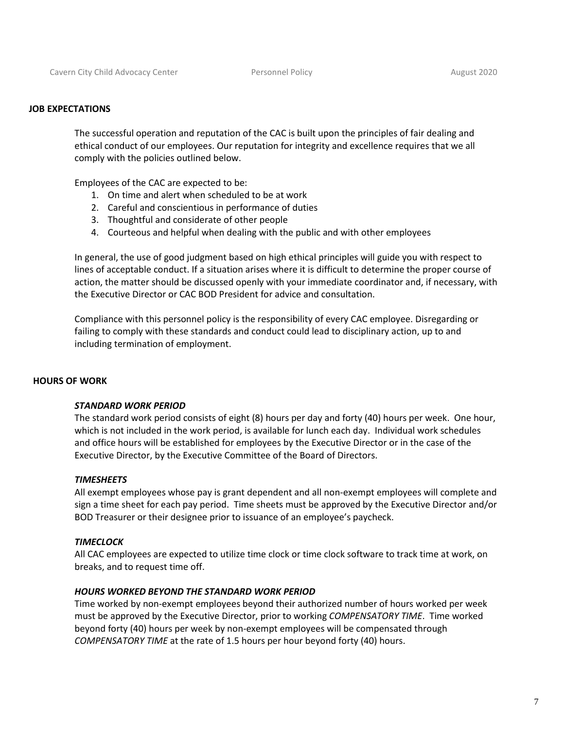#### **JOB EXPECTATIONS**

The successful operation and reputation of the CAC is built upon the principles of fair dealing and ethical conduct of our employees. Our reputation for integrity and excellence requires that we all comply with the policies outlined below.

Employees of the CAC are expected to be:

- 1. On time and alert when scheduled to be at work
- 2. Careful and conscientious in performance of duties
- 3. Thoughtful and considerate of other people
- 4. Courteous and helpful when dealing with the public and with other employees

In general, the use of good judgment based on high ethical principles will guide you with respect to lines of acceptable conduct. If a situation arises where it is difficult to determine the proper course of action, the matter should be discussed openly with your immediate coordinator and, if necessary, with the Executive Director or CAC BOD President for advice and consultation.

Compliance with this personnel policy is the responsibility of every CAC employee. Disregarding or failing to comply with these standards and conduct could lead to disciplinary action, up to and including termination of employment.

#### **HOURS OF WORK**

#### *STANDARD WORK PERIOD*

The standard work period consists of eight (8) hours per day and forty (40) hours per week. One hour, which is not included in the work period, is available for lunch each day. Individual work schedules and office hours will be established for employees by the Executive Director or in the case of the Executive Director, by the Executive Committee of the Board of Directors.

#### *TIMESHEETS*

All exempt employees whose pay is grant dependent and all non-exempt employees will complete and sign a time sheet for each pay period. Time sheets must be approved by the Executive Director and/or BOD Treasurer or their designee prior to issuance of an employee's paycheck.

#### *TIMECLOCK*

All CAC employees are expected to utilize time clock or time clock software to track time at work, on breaks, and to request time off.

#### *HOURS WORKED BEYOND THE STANDARD WORK PERIOD*

Time worked by non-exempt employees beyond their authorized number of hours worked per week must be approved by the Executive Director, prior to working *COMPENSATORY TIME*. Time worked beyond forty (40) hours per week by non-exempt employees will be compensated through *COMPENSATORY TIME* at the rate of 1.5 hours per hour beyond forty (40) hours.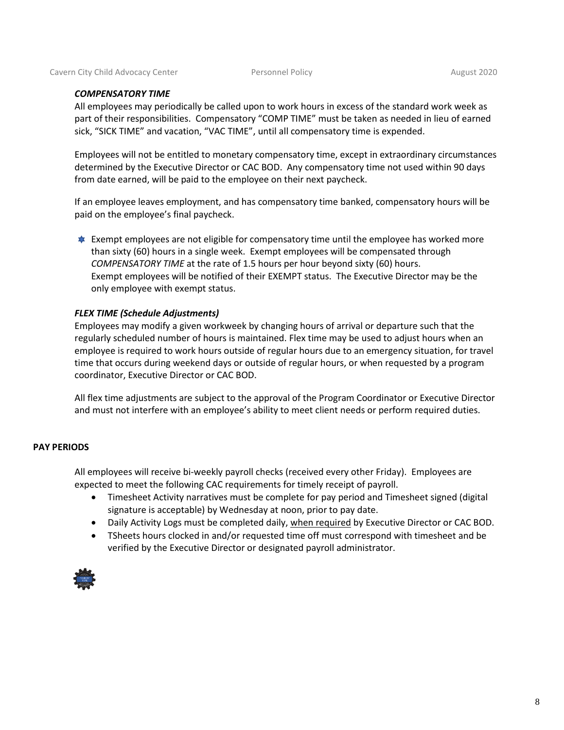#### *COMPENSATORY TIME*

All employees may periodically be called upon to work hours in excess of the standard work week as part of their responsibilities. Compensatory "COMP TIME" must be taken as needed in lieu of earned sick, "SICK TIME" and vacation, "VAC TIME", until all compensatory time is expended.

Employees will not be entitled to monetary compensatory time, except in extraordinary circumstances determined by the Executive Director or CAC BOD. Any compensatory time not used within 90 days from date earned, will be paid to the employee on their next paycheck.

If an employee leaves employment, and has compensatory time banked, compensatory hours will be paid on the employee's final paycheck.

**Exempt employees are not eligible for compensatory time until the employee has worked more** than sixty (60) hours in a single week. Exempt employees will be compensated through *COMPENSATORY TIME* at the rate of 1.5 hours per hour beyond sixty (60) hours. Exempt employees will be notified of their EXEMPT status. The Executive Director may be the only employee with exempt status.

#### *FLEX TIME (Schedule Adjustments)*

Employees may modify a given workweek by changing hours of arrival or departure such that the regularly scheduled number of hours is maintained. Flex time may be used to adjust hours when an employee is required to work hours outside of regular hours due to an emergency situation, for travel time that occurs during weekend days or outside of regular hours, or when requested by a program coordinator, Executive Director or CAC BOD.

All flex time adjustments are subject to the approval of the Program Coordinator or Executive Director and must not interfere with an employee's ability to meet client needs or perform required duties.

#### **PAY PERIODS**

All employees will receive bi-weekly payroll checks (received every other Friday). Employees are expected to meet the following CAC requirements for timely receipt of payroll.

- Timesheet Activity narratives must be complete for pay period and Timesheet signed (digital signature is acceptable) by Wednesday at noon, prior to pay date.
- Daily Activity Logs must be completed daily, when required by Executive Director or CAC BOD.
- TSheets hours clocked in and/or requested time off must correspond with timesheet and be verified by the Executive Director or designated payroll administrator.

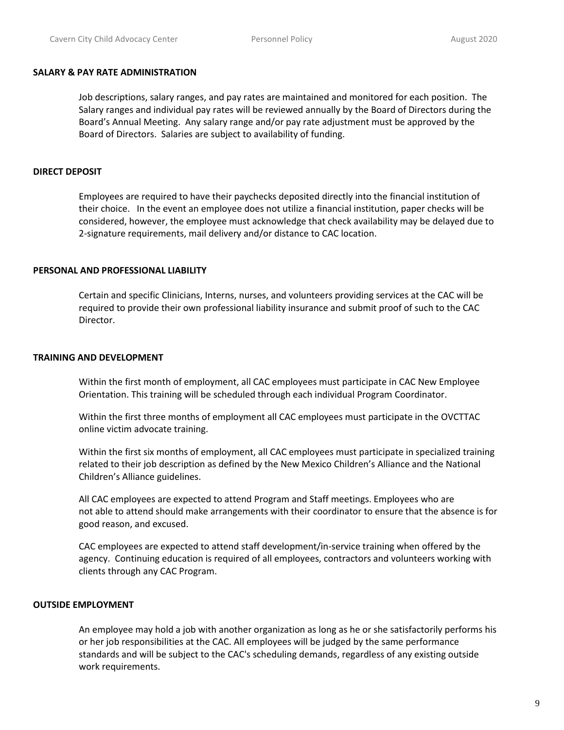#### **SALARY & PAY RATE ADMINISTRATION**

Job descriptions, salary ranges, and pay rates are maintained and monitored for each position. The Salary ranges and individual pay rates will be reviewed annually by the Board of Directors during the Board's Annual Meeting. Any salary range and/or pay rate adjustment must be approved by the Board of Directors. Salaries are subject to availability of funding.

### **DIRECT DEPOSIT**

Employees are required to have their paychecks deposited directly into the financial institution of their choice. In the event an employee does not utilize a financial institution, paper checks will be considered, however, the employee must acknowledge that check availability may be delayed due to 2-signature requirements, mail delivery and/or distance to CAC location.

### **PERSONAL AND PROFESSIONAL LIABILITY**

Certain and specific Clinicians, Interns, nurses, and volunteers providing services at the CAC will be required to provide their own professional liability insurance and submit proof of such to the CAC Director.

#### **TRAINING AND DEVELOPMENT**

Within the first month of employment, all CAC employees must participate in CAC New Employee Orientation. This training will be scheduled through each individual Program Coordinator.

Within the first three months of employment all CAC employees must participate in the OVCTTAC online victim advocate training.

Within the first six months of employment, all CAC employees must participate in specialized training related to their job description as defined by the New Mexico Children's Alliance and the National Children's Alliance guidelines.

All CAC employees are expected to attend Program and Staff meetings. Employees who are not able to attend should make arrangements with their coordinator to ensure that the absence is for good reason, and excused.

CAC employees are expected to attend staff development/in-service training when offered by the agency. Continuing education is required of all employees, contractors and volunteers working with clients through any CAC Program.

### **OUTSIDE EMPLOYMENT**

An employee may hold a job with another organization as long as he or she satisfactorily performs his or her job responsibilities at the CAC. All employees will be judged by the same performance standards and will be subject to the CAC's scheduling demands, regardless of any existing outside work requirements.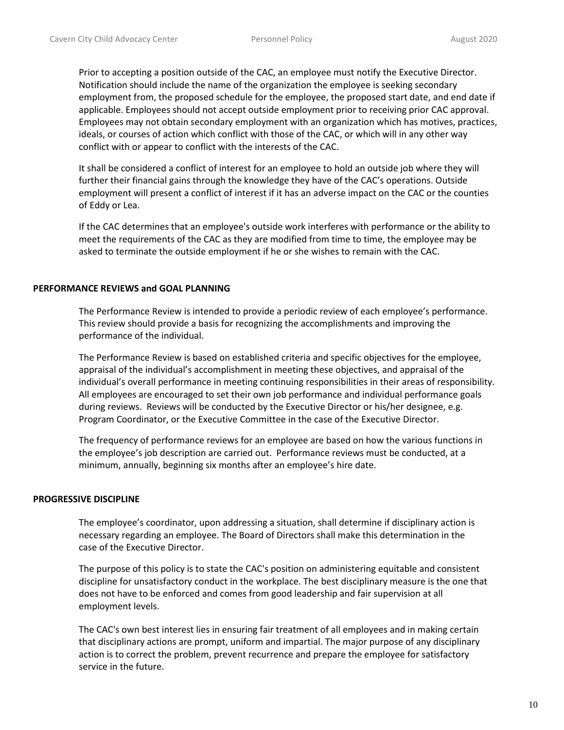Prior to accepting a position outside of the CAC, an employee must notify the Executive Director. Notification should include the name of the organization the employee is seeking secondary employment from, the proposed schedule for the employee, the proposed start date, and end date if applicable. Employees should not accept outside employment prior to receiving prior CAC approval. Employees may not obtain secondary employment with an organization which has motives, practices, ideals, or courses of action which conflict with those of the CAC, or which will in any other way conflict with or appear to conflict with the interests of the CAC.

It shall be considered a conflict of interest for an employee to hold an outside job where they will further their financial gains through the knowledge they have of the CAC's operations. Outside employment will present a conflict of interest if it has an adverse impact on the CAC or the counties of Eddy or Lea.

If the CAC determines that an employee's outside work interferes with performance or the ability to meet the requirements of the CAC as they are modified from time to time, the employee may be asked to terminate the outside employment if he or she wishes to remain with the CAC.

### **PERFORMANCE REVIEWS and GOAL PLANNING**

The Performance Review is intended to provide a periodic review of each employee's performance. This review should provide a basis for recognizing the accomplishments and improving the performance of the individual.

The Performance Review is based on established criteria and specific objectives for the employee, appraisal of the individual's accomplishment in meeting these objectives, and appraisal of the individual's overall performance in meeting continuing responsibilities in their areas of responsibility. All employees are encouraged to set their own job performance and individual performance goals during reviews. Reviews will be conducted by the Executive Director or his/her designee, e.g. Program Coordinator, or the Executive Committee in the case of the Executive Director.

The frequency of performance reviews for an employee are based on how the various functions in the employee's job description are carried out. Performance reviews must be conducted, at a minimum, annually, beginning six months after an employee's hire date.

#### **PROGRESSIVE DISCIPLINE**

The employee's coordinator, upon addressing a situation, shall determine if disciplinary action is necessary regarding an employee. The Board of Directors shall make this determination in the case of the Executive Director.

The purpose of this policy is to state the CAC's position on administering equitable and consistent discipline for unsatisfactory conduct in the workplace. The best disciplinary measure is the one that does not have to be enforced and comes from good leadership and fair supervision at all employment levels.

The CAC's own best interest lies in ensuring fair treatment of all employees and in making certain that disciplinary actions are prompt, uniform and impartial. The major purpose of any disciplinary action is to correct the problem, prevent recurrence and prepare the employee for satisfactory service in the future.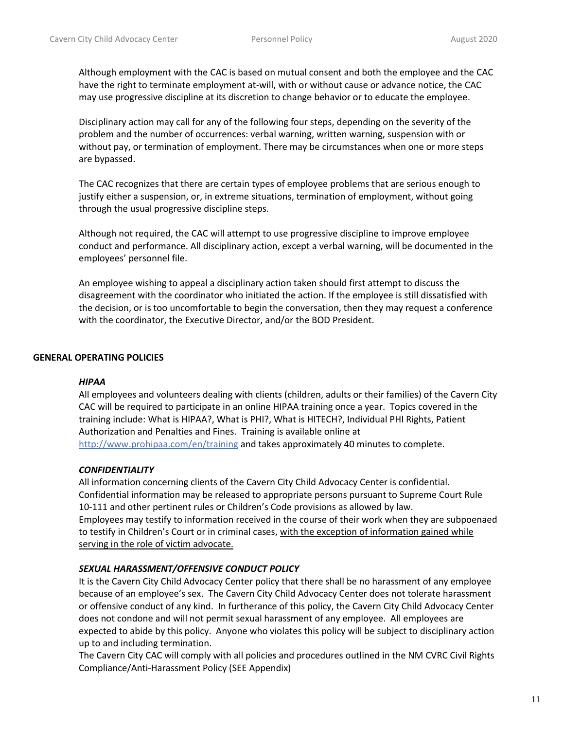Although employment with the CAC is based on mutual consent and both the employee and the CAC have the right to terminate employment at-will, with or without cause or advance notice, the CAC may use progressive discipline at its discretion to change behavior or to educate the employee.

Disciplinary action may call for any of the following four steps, depending on the severity of the problem and the number of occurrences: verbal warning, written warning, suspension with or without pay, or termination of employment. There may be circumstances when one or more steps are bypassed.

The CAC recognizes that there are certain types of employee problems that are serious enough to justify either a suspension, or, in extreme situations, termination of employment, without going through the usual progressive discipline steps.

Although not required, the CAC will attempt to use progressive discipline to improve employee conduct and performance. All disciplinary action, except a verbal warning, will be documented in the employees' personnel file.

An employee wishing to appeal a disciplinary action taken should first attempt to discuss the disagreement with the coordinator who initiated the action. If the employee is still dissatisfied with the decision, or is too uncomfortable to begin the conversation, then they may request a conference with the coordinator, the Executive Director, and/or the BOD President.

### **GENERAL OPERATING POLICIES**

#### *HIPAA*

All employees and volunteers dealing with clients (children, adults or their families) of the Cavern City CAC will be required to participate in an online HIPAA training once a year. Topics covered in the training include: What is HIPAA?, What is PHI?, What is HITECH?, Individual PHI Rights, Patient Authorization and Penalties and Fines. Training is available online at http://www.prohipaa.com/en/training and takes approximately 40 minutes to complete.

### *CONFIDENTIALITY*

All information concerning clients of the Cavern City Child Advocacy Center is confidential. Confidential information may be released to appropriate persons pursuant to Supreme Court Rule 10-111 and other pertinent rules or Children's Code provisions as allowed by law. Employees may testify to information received in the course of their work when they are subpoenaed to testify in Children's Court or in criminal cases, with the exception of information gained while serving in the role of victim advocate.

### *SEXUAL HARASSMENT/OFFENSIVE CONDUCT POLICY*

It is the Cavern City Child Advocacy Center policy that there shall be no harassment of any employee because of an employee's sex. The Cavern City Child Advocacy Center does not tolerate harassment or offensive conduct of any kind. In furtherance of this policy, the Cavern City Child Advocacy Center does not condone and will not permit sexual harassment of any employee. All employees are expected to abide by this policy. Anyone who violates this policy will be subject to disciplinary action up to and including termination.

The Cavern City CAC will comply with all policies and procedures outlined in the NM CVRC Civil Rights Compliance/Anti-Harassment Policy (SEE Appendix)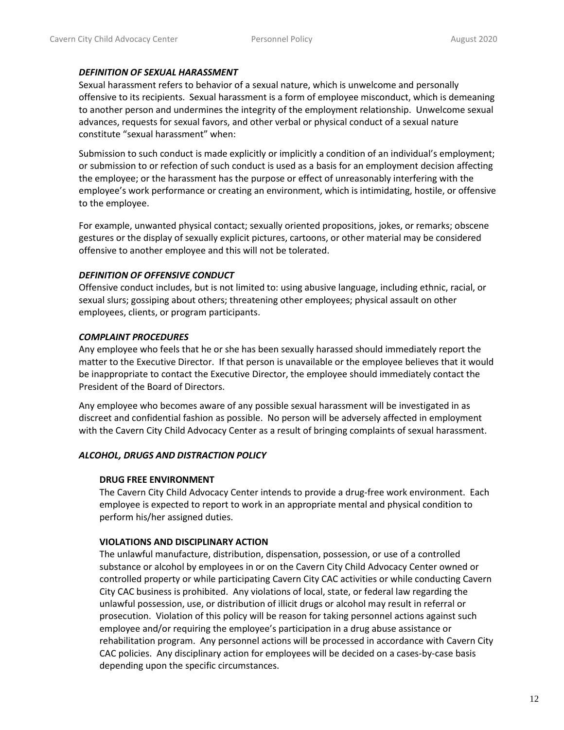### *DEFINITION OF SEXUAL HARASSMENT*

Sexual harassment refers to behavior of a sexual nature, which is unwelcome and personally offensive to its recipients. Sexual harassment is a form of employee misconduct, which is demeaning to another person and undermines the integrity of the employment relationship. Unwelcome sexual advances, requests for sexual favors, and other verbal or physical conduct of a sexual nature constitute "sexual harassment" when:

Submission to such conduct is made explicitly or implicitly a condition of an individual's employment; or submission to or refection of such conduct is used as a basis for an employment decision affecting the employee; or the harassment has the purpose or effect of unreasonably interfering with the employee's work performance or creating an environment, which is intimidating, hostile, or offensive to the employee.

For example, unwanted physical contact; sexually oriented propositions, jokes, or remarks; obscene gestures or the display of sexually explicit pictures, cartoons, or other material may be considered offensive to another employee and this will not be tolerated.

### *DEFINITION OF OFFENSIVE CONDUCT*

Offensive conduct includes, but is not limited to: using abusive language, including ethnic, racial, or sexual slurs; gossiping about others; threatening other employees; physical assault on other employees, clients, or program participants.

### *COMPLAINT PROCEDURES*

Any employee who feels that he or she has been sexually harassed should immediately report the matter to the Executive Director. If that person is unavailable or the employee believes that it would be inappropriate to contact the Executive Director, the employee should immediately contact the President of the Board of Directors.

Any employee who becomes aware of any possible sexual harassment will be investigated in as discreet and confidential fashion as possible. No person will be adversely affected in employment with the Cavern City Child Advocacy Center as a result of bringing complaints of sexual harassment.

### *ALCOHOL, DRUGS AND DISTRACTION POLICY*

### **DRUG FREE ENVIRONMENT**

The Cavern City Child Advocacy Center intends to provide a drug-free work environment. Each employee is expected to report to work in an appropriate mental and physical condition to perform his/her assigned duties.

### **VIOLATIONS AND DISCIPLINARY ACTION**

The unlawful manufacture, distribution, dispensation, possession, or use of a controlled substance or alcohol by employees in or on the Cavern City Child Advocacy Center owned or controlled property or while participating Cavern City CAC activities or while conducting Cavern City CAC business is prohibited. Any violations of local, state, or federal law regarding the unlawful possession, use, or distribution of illicit drugs or alcohol may result in referral or prosecution. Violation of this policy will be reason for taking personnel actions against such employee and/or requiring the employee's participation in a drug abuse assistance or rehabilitation program. Any personnel actions will be processed in accordance with Cavern City CAC policies. Any disciplinary action for employees will be decided on a cases-by-case basis depending upon the specific circumstances.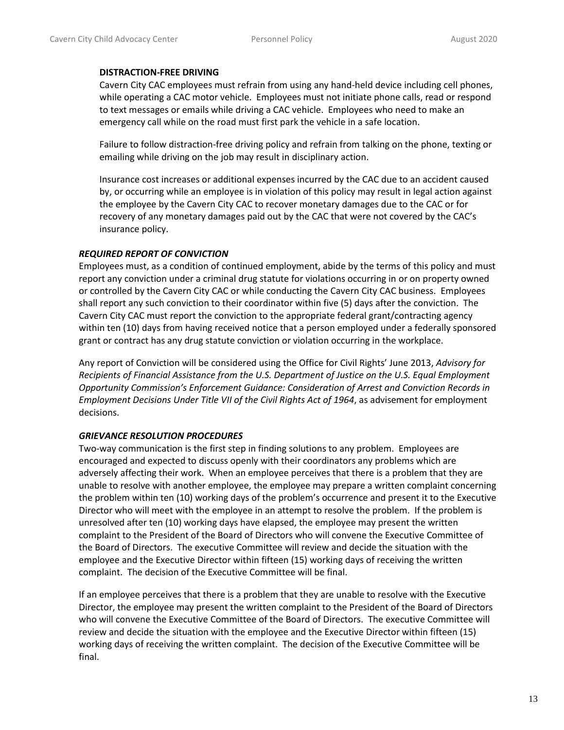### **DISTRACTION-FREE DRIVING**

Cavern City CAC employees must refrain from using any hand-held device including cell phones, while operating a CAC motor vehicle. Employees must not initiate phone calls, read or respond to text messages or emails while driving a CAC vehicle. Employees who need to make an emergency call while on the road must first park the vehicle in a safe location.

Failure to follow distraction-free driving policy and refrain from talking on the phone, texting or emailing while driving on the job may result in disciplinary action.

Insurance cost increases or additional expenses incurred by the CAC due to an accident caused by, or occurring while an employee is in violation of this policy may result in legal action against the employee by the Cavern City CAC to recover monetary damages due to the CAC or for recovery of any monetary damages paid out by the CAC that were not covered by the CAC's insurance policy.

### *REQUIRED REPORT OF CONVICTION*

Employees must, as a condition of continued employment, abide by the terms of this policy and must report any conviction under a criminal drug statute for violations occurring in or on property owned or controlled by the Cavern City CAC or while conducting the Cavern City CAC business. Employees shall report any such conviction to their coordinator within five (5) days after the conviction. The Cavern City CAC must report the conviction to the appropriate federal grant/contracting agency within ten (10) days from having received notice that a person employed under a federally sponsored grant or contract has any drug statute conviction or violation occurring in the workplace.

Any report of Conviction will be considered using the Office for Civil Rights' June 2013, *Advisory for Recipients of Financial Assistance from the U.S. Department of Justice on the U.S. Equal Employment Opportunity Commission's Enforcement Guidance: Consideration of Arrest and Conviction Records in Employment Decisions Under Title VII of the Civil Rights Act of 1964*, as advisement for employment decisions.

### *GRIEVANCE RESOLUTION PROCEDURES*

Two-way communication is the first step in finding solutions to any problem. Employees are encouraged and expected to discuss openly with their coordinators any problems which are adversely affecting their work. When an employee perceives that there is a problem that they are unable to resolve with another employee, the employee may prepare a written complaint concerning the problem within ten (10) working days of the problem's occurrence and present it to the Executive Director who will meet with the employee in an attempt to resolve the problem. If the problem is unresolved after ten (10) working days have elapsed, the employee may present the written complaint to the President of the Board of Directors who will convene the Executive Committee of the Board of Directors. The executive Committee will review and decide the situation with the employee and the Executive Director within fifteen (15) working days of receiving the written complaint. The decision of the Executive Committee will be final.

If an employee perceives that there is a problem that they are unable to resolve with the Executive Director, the employee may present the written complaint to the President of the Board of Directors who will convene the Executive Committee of the Board of Directors. The executive Committee will review and decide the situation with the employee and the Executive Director within fifteen (15) working days of receiving the written complaint. The decision of the Executive Committee will be final.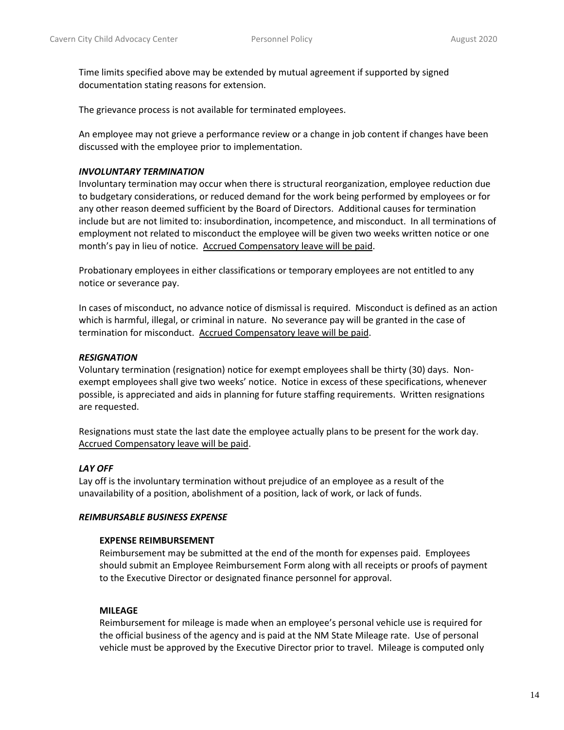Time limits specified above may be extended by mutual agreement if supported by signed documentation stating reasons for extension.

The grievance process is not available for terminated employees.

An employee may not grieve a performance review or a change in job content if changes have been discussed with the employee prior to implementation.

#### *INVOLUNTARY TERMINATION*

Involuntary termination may occur when there is structural reorganization, employee reduction due to budgetary considerations, or reduced demand for the work being performed by employees or for any other reason deemed sufficient by the Board of Directors. Additional causes for termination include but are not limited to: insubordination, incompetence, and misconduct. In all terminations of employment not related to misconduct the employee will be given two weeks written notice or one month's pay in lieu of notice. Accrued Compensatory leave will be paid.

Probationary employees in either classifications or temporary employees are not entitled to any notice or severance pay.

In cases of misconduct, no advance notice of dismissal is required. Misconduct is defined as an action which is harmful, illegal, or criminal in nature. No severance pay will be granted in the case of termination for misconduct. Accrued Compensatory leave will be paid.

### *RESIGNATION*

Voluntary termination (resignation) notice for exempt employees shall be thirty (30) days. Nonexempt employees shall give two weeks' notice. Notice in excess of these specifications, whenever possible, is appreciated and aids in planning for future staffing requirements. Written resignations are requested.

Resignations must state the last date the employee actually plans to be present for the work day. Accrued Compensatory leave will be paid.

#### *LAY OFF*

Lay off is the involuntary termination without prejudice of an employee as a result of the unavailability of a position, abolishment of a position, lack of work, or lack of funds.

#### *REIMBURSABLE BUSINESS EXPENSE*

#### **EXPENSE REIMBURSEMENT**

Reimbursement may be submitted at the end of the month for expenses paid. Employees should submit an Employee Reimbursement Form along with all receipts or proofs of payment to the Executive Director or designated finance personnel for approval.

#### **MILEAGE**

Reimbursement for mileage is made when an employee's personal vehicle use is required for the official business of the agency and is paid at the NM State Mileage rate. Use of personal vehicle must be approved by the Executive Director prior to travel. Mileage is computed only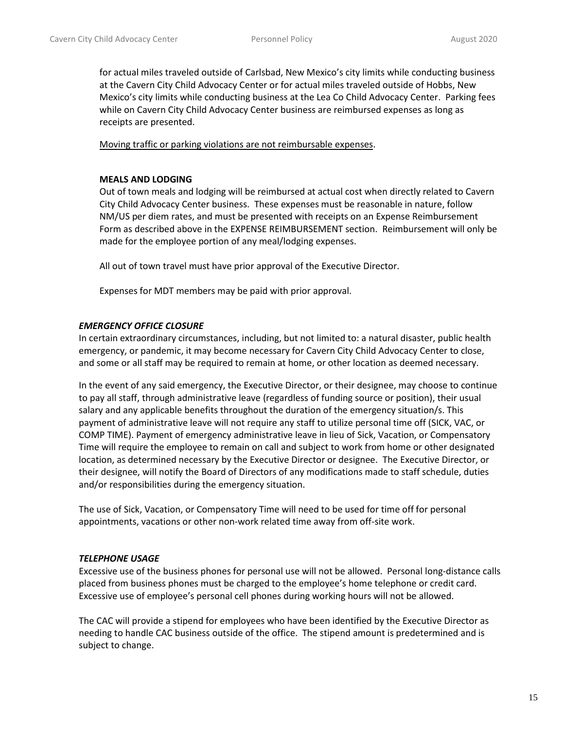for actual miles traveled outside of Carlsbad, New Mexico's city limits while conducting business at the Cavern City Child Advocacy Center or for actual miles traveled outside of Hobbs, New Mexico's city limits while conducting business at the Lea Co Child Advocacy Center. Parking fees while on Cavern City Child Advocacy Center business are reimbursed expenses as long as receipts are presented.

Moving traffic or parking violations are not reimbursable expenses.

### **MEALS AND LODGING**

Out of town meals and lodging will be reimbursed at actual cost when directly related to Cavern City Child Advocacy Center business. These expenses must be reasonable in nature, follow NM/US per diem rates, and must be presented with receipts on an Expense Reimbursement Form as described above in the EXPENSE REIMBURSEMENT section. Reimbursement will only be made for the employee portion of any meal/lodging expenses.

All out of town travel must have prior approval of the Executive Director.

Expenses for MDT members may be paid with prior approval.

### *EMERGENCY OFFICE CLOSURE*

In certain extraordinary circumstances, including, but not limited to: a natural disaster, public health emergency, or pandemic, it may become necessary for Cavern City Child Advocacy Center to close, and some or all staff may be required to remain at home, or other location as deemed necessary.

In the event of any said emergency, the Executive Director, or their designee, may choose to continue to pay all staff, through administrative leave (regardless of funding source or position), their usual salary and any applicable benefits throughout the duration of the emergency situation/s. This payment of administrative leave will not require any staff to utilize personal time off (SICK, VAC, or COMP TIME). Payment of emergency administrative leave in lieu of Sick, Vacation, or Compensatory Time will require the employee to remain on call and subject to work from home or other designated location, as determined necessary by the Executive Director or designee. The Executive Director, or their designee, will notify the Board of Directors of any modifications made to staff schedule, duties and/or responsibilities during the emergency situation.

The use of Sick, Vacation, or Compensatory Time will need to be used for time off for personal appointments, vacations or other non-work related time away from off-site work.

#### *TELEPHONE USAGE*

Excessive use of the business phones for personal use will not be allowed. Personal long-distance calls placed from business phones must be charged to the employee's home telephone or credit card. Excessive use of employee's personal cell phones during working hours will not be allowed.

The CAC will provide a stipend for employees who have been identified by the Executive Director as needing to handle CAC business outside of the office. The stipend amount is predetermined and is subject to change.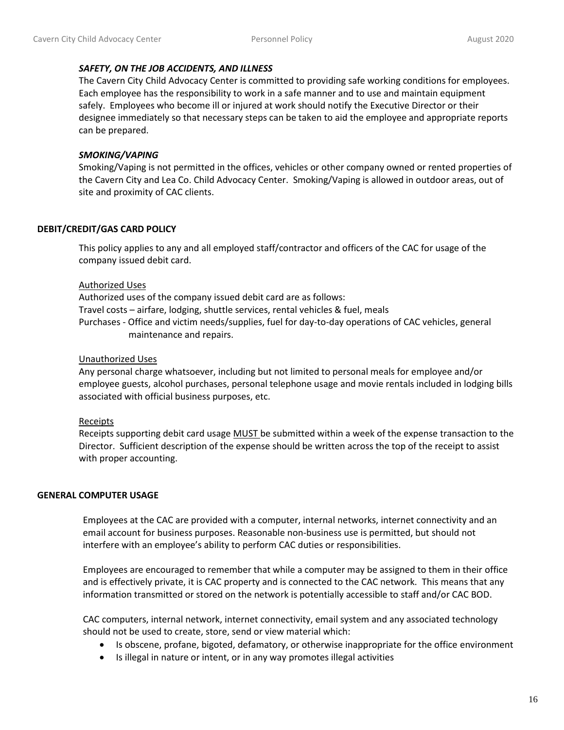### *SAFETY, ON THE JOB ACCIDENTS, AND ILLNESS*

The Cavern City Child Advocacy Center is committed to providing safe working conditions for employees. Each employee has the responsibility to work in a safe manner and to use and maintain equipment safely. Employees who become ill or injured at work should notify the Executive Director or their designee immediately so that necessary steps can be taken to aid the employee and appropriate reports can be prepared.

### *SMOKING/VAPING*

Smoking/Vaping is not permitted in the offices, vehicles or other company owned or rented properties of the Cavern City and Lea Co. Child Advocacy Center. Smoking/Vaping is allowed in outdoor areas, out of site and proximity of CAC clients.

### **DEBIT/CREDIT/GAS CARD POLICY**

This policy applies to any and all employed staff/contractor and officers of the CAC for usage of the company issued debit card.

### Authorized Uses

Authorized uses of the company issued debit card are as follows: Travel costs – airfare, lodging, shuttle services, rental vehicles & fuel, meals Purchases - Office and victim needs/supplies, fuel for day-to-day operations of CAC vehicles, general maintenance and repairs.

### Unauthorized Uses

Any personal charge whatsoever, including but not limited to personal meals for employee and/or employee guests, alcohol purchases, personal telephone usage and movie rentals included in lodging bills associated with official business purposes, etc.

### Receipts

Receipts supporting debit card usage MUST be submitted within a week of the expense transaction to the Director. Sufficient description of the expense should be written across the top of the receipt to assist with proper accounting.

### **GENERAL COMPUTER USAGE**

Employees at the CAC are provided with a computer, internal networks, internet connectivity and an email account for business purposes. Reasonable non-business use is permitted, but should not interfere with an employee's ability to perform CAC duties or responsibilities.

Employees are encouraged to remember that while a computer may be assigned to them in their office and is effectively private, it is CAC property and is connected to the CAC network. This means that any information transmitted or stored on the network is potentially accessible to staff and/or CAC BOD.

CAC computers, internal network, internet connectivity, email system and any associated technology should not be used to create, store, send or view material which:

- Is obscene, profane, bigoted, defamatory, or otherwise inappropriate for the office environment
- Is illegal in nature or intent, or in any way promotes illegal activities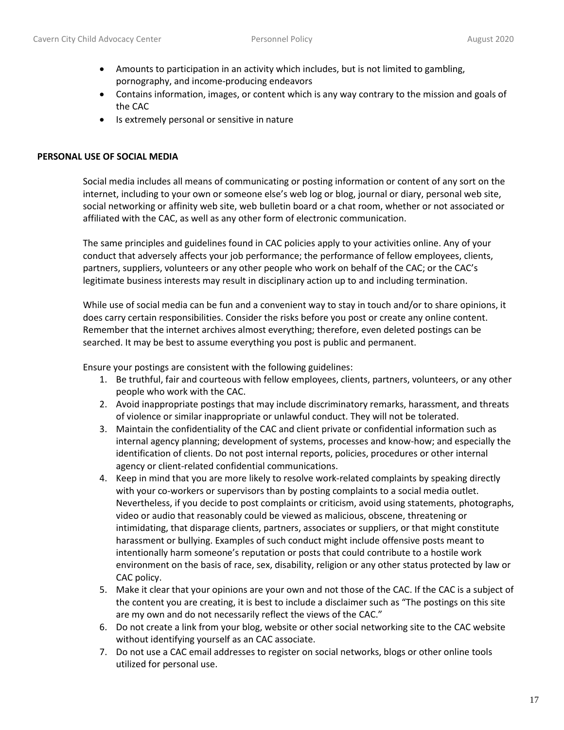- Amounts to participation in an activity which includes, but is not limited to gambling, pornography, and income-producing endeavors
- Contains information, images, or content which is any way contrary to the mission and goals of the CAC
- Is extremely personal or sensitive in nature

### **PERSONAL USE OF SOCIAL MEDIA**

Social media includes all means of communicating or posting information or content of any sort on the internet, including to your own or someone else's web log or blog, journal or diary, personal web site, social networking or affinity web site, web bulletin board or a chat room, whether or not associated or affiliated with the CAC, as well as any other form of electronic communication.

The same principles and guidelines found in CAC policies apply to your activities online. Any of your conduct that adversely affects your job performance; the performance of fellow employees, clients, partners, suppliers, volunteers or any other people who work on behalf of the CAC; or the CAC's legitimate business interests may result in disciplinary action up to and including termination.

While use of social media can be fun and a convenient way to stay in touch and/or to share opinions, it does carry certain responsibilities. Consider the risks before you post or create any online content. Remember that the internet archives almost everything; therefore, even deleted postings can be searched. It may be best to assume everything you post is public and permanent.

Ensure your postings are consistent with the following guidelines:

- 1. Be truthful, fair and courteous with fellow employees, clients, partners, volunteers, or any other people who work with the CAC.
- 2. Avoid inappropriate postings that may include discriminatory remarks, harassment, and threats of violence or similar inappropriate or unlawful conduct. They will not be tolerated.
- 3. Maintain the confidentiality of the CAC and client private or confidential information such as internal agency planning; development of systems, processes and know-how; and especially the identification of clients. Do not post internal reports, policies, procedures or other internal agency or client-related confidential communications.
- 4. Keep in mind that you are more likely to resolve work-related complaints by speaking directly with your co-workers or supervisors than by posting complaints to a social media outlet. Nevertheless, if you decide to post complaints or criticism, avoid using statements, photographs, video or audio that reasonably could be viewed as malicious, obscene, threatening or intimidating, that disparage clients, partners, associates or suppliers, or that might constitute harassment or bullying. Examples of such conduct might include offensive posts meant to intentionally harm someone's reputation or posts that could contribute to a hostile work environment on the basis of race, sex, disability, religion or any other status protected by law or CAC policy.
- 5. Make it clear that your opinions are your own and not those of the CAC. If the CAC is a subject of the content you are creating, it is best to include a disclaimer such as "The postings on this site are my own and do not necessarily reflect the views of the CAC."
- 6. Do not create a link from your blog, website or other social networking site to the CAC website without identifying yourself as an CAC associate.
- 7. Do not use a CAC email addresses to register on social networks, blogs or other online tools utilized for personal use.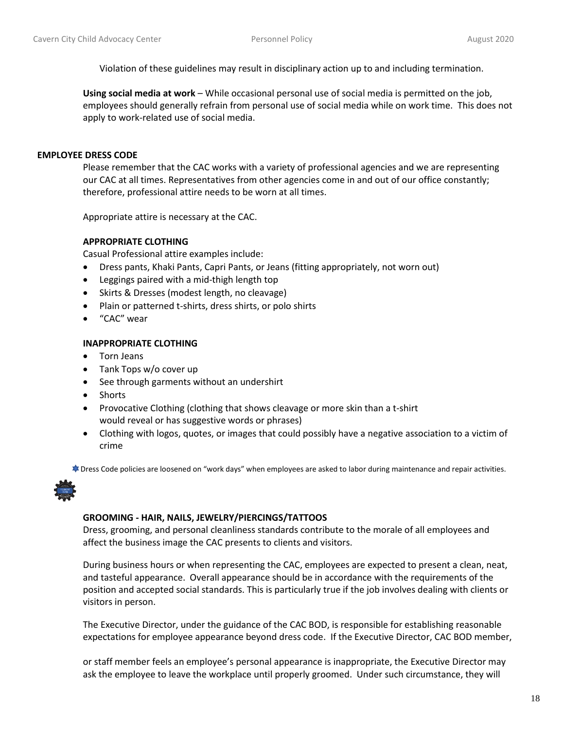Violation of these guidelines may result in disciplinary action up to and including termination.

**Using social media at work** – While occasional personal use of social media is permitted on the job, employees should generally refrain from personal use of social media while on work time. This does not apply to work-related use of social media.

### **EMPLOYEE DRESS CODE**

Please remember that the CAC works with a variety of professional agencies and we are representing our CAC at all times. Representatives from other agencies come in and out of our office constantly; therefore, professional attire needs to be worn at all times.

Appropriate attire is necessary at the CAC.

### **APPROPRIATE CLOTHING**

Casual Professional attire examples include:

- Dress pants, Khaki Pants, Capri Pants, or Jeans (fitting appropriately, not worn out)
- Leggings paired with a mid-thigh length top
- Skirts & Dresses (modest length, no cleavage)
- Plain or patterned t-shirts, dress shirts, or polo shirts
- "CAC" wear

#### **INAPPROPRIATE CLOTHING**

- Torn Jeans
- Tank Tops w/o cover up
- See through garments without an undershirt
- Shorts
- Provocative Clothing (clothing that shows cleavage or more skin than a t-shirt would reveal or has suggestive words or phrases)
- Clothing with logos, quotes, or images that could possibly have a negative association to a victim of crime

Dress Code policies are loosened on "work days" when employees are asked to labor during maintenance and repair activities.



#### **GROOMING - HAIR, NAILS, JEWELRY/PIERCINGS/TATTOOS**

Dress, grooming, and personal cleanliness standards contribute to the morale of all employees and affect the business image the CAC presents to clients and visitors.

During business hours or when representing the CAC, employees are expected to present a clean, neat, and tasteful appearance. Overall appearance should be in accordance with the requirements of the position and accepted social standards. This is particularly true if the job involves dealing with clients or visitors in person.

The Executive Director, under the guidance of the CAC BOD, is responsible for establishing reasonable expectations for employee appearance beyond dress code. If the Executive Director, CAC BOD member,

or staff member feels an employee's personal appearance is inappropriate, the Executive Director may ask the employee to leave the workplace until properly groomed. Under such circumstance, they will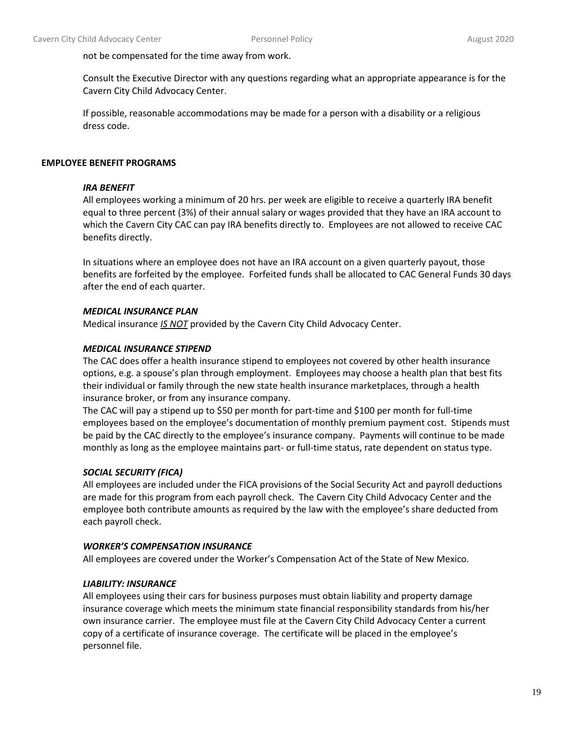not be compensated for the time away from work.

Consult the Executive Director with any questions regarding what an appropriate appearance is for the Cavern City Child Advocacy Center.

If possible, reasonable accommodations may be made for a person with a disability or a religious dress code.

### **EMPLOYEE BENEFIT PROGRAMS**

### *IRA BENEFIT*

All employees working a minimum of 20 hrs. per week are eligible to receive a quarterly IRA benefit equal to three percent (3%) of their annual salary or wages provided that they have an IRA account to which the Cavern City CAC can pay IRA benefits directly to. Employees are not allowed to receive CAC benefits directly.

In situations where an employee does not have an IRA account on a given quarterly payout, those benefits are forfeited by the employee. Forfeited funds shall be allocated to CAC General Funds 30 days after the end of each quarter.

## *MEDICAL INSURANCE PLAN*

Medical insurance *IS NOT* provided by the Cavern City Child Advocacy Center.

### *MEDICAL INSURANCE STIPEND*

The CAC does offer a health insurance stipend to employees not covered by other health insurance options, e.g. a spouse's plan through employment. Employees may choose a health plan that best fits their individual or family through the new state health insurance marketplaces, through a health insurance broker, or from any insurance company.

The CAC will pay a stipend up to \$50 per month for part-time and \$100 per month for full-time employees based on the employee's documentation of monthly premium payment cost. Stipends must be paid by the CAC directly to the employee's insurance company. Payments will continue to be made monthly as long as the employee maintains part- or full-time status, rate dependent on status type.

### *SOCIAL SECURITY (FICA)*

All employees are included under the FICA provisions of the Social Security Act and payroll deductions are made for this program from each payroll check. The Cavern City Child Advocacy Center and the employee both contribute amounts as required by the law with the employee's share deducted from each payroll check.

### *WORKER'S COMPENSATION INSURANCE*

All employees are covered under the Worker's Compensation Act of the State of New Mexico.

### *LIABILITY: INSURANCE*

All employees using their cars for business purposes must obtain liability and property damage insurance coverage which meets the minimum state financial responsibility standards from his/her own insurance carrier. The employee must file at the Cavern City Child Advocacy Center a current copy of a certificate of insurance coverage. The certificate will be placed in the employee's personnel file.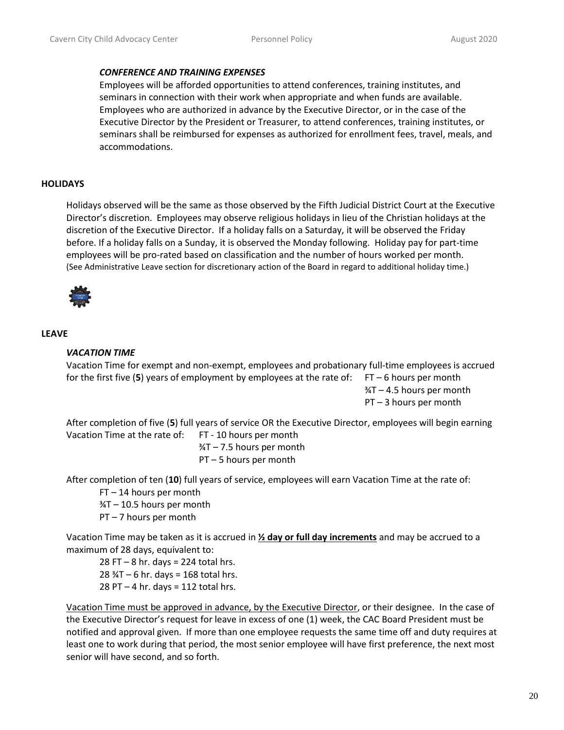#### *CONFERENCE AND TRAINING EXPENSES*

Employees will be afforded opportunities to attend conferences, training institutes, and seminars in connection with their work when appropriate and when funds are available. Employees who are authorized in advance by the Executive Director, or in the case of the Executive Director by the President or Treasurer, to attend conferences, training institutes, or seminars shall be reimbursed for expenses as authorized for enrollment fees, travel, meals, and accommodations.

### **HOLIDAYS**

Holidays observed will be the same as those observed by the Fifth Judicial District Court at the Executive Director's discretion. Employees may observe religious holidays in lieu of the Christian holidays at the discretion of the Executive Director. If a holiday falls on a Saturday, it will be observed the Friday before. If a holiday falls on a Sunday, it is observed the Monday following. Holiday pay for part-time employees will be pro-rated based on classification and the number of hours worked per month. (See Administrative Leave section for discretionary action of the Board in regard to additional holiday time.)



#### **LEAVE**

### *VACATION TIME*

Vacation Time for exempt and non-exempt, employees and probationary full-time employees is accrued for the first five (5) years of employment by employees at the rate of:  $FT-6$  hours per month

¾T – 4.5 hours per month PT – 3 hours per month

After completion of five (**5**) full years of service OR the Executive Director, employees will begin earning Vacation Time at the rate of: FT - 10 hours per month

> $\frac{3}{4}T - 7.5$  hours per month PT – 5 hours per month

After completion of ten (**10**) full years of service, employees will earn Vacation Time at the rate of:

FT – 14 hours per month

¾T – 10.5 hours per month

PT – 7 hours per month

Vacation Time may be taken as it is accrued in **½ day or full day increments** and may be accrued to a maximum of 28 days, equivalent to:

 $28$  FT – 8 hr. days = 224 total hrs.  $28$   $\frac{3}{4}T - 6$  hr. days = 168 total hrs.  $28$  PT – 4 hr. days = 112 total hrs.

Vacation Time must be approved in advance, by the Executive Director, or their designee. In the case of the Executive Director's request for leave in excess of one (1) week, the CAC Board President must be notified and approval given. If more than one employee requests the same time off and duty requires at least one to work during that period, the most senior employee will have first preference, the next most senior will have second, and so forth.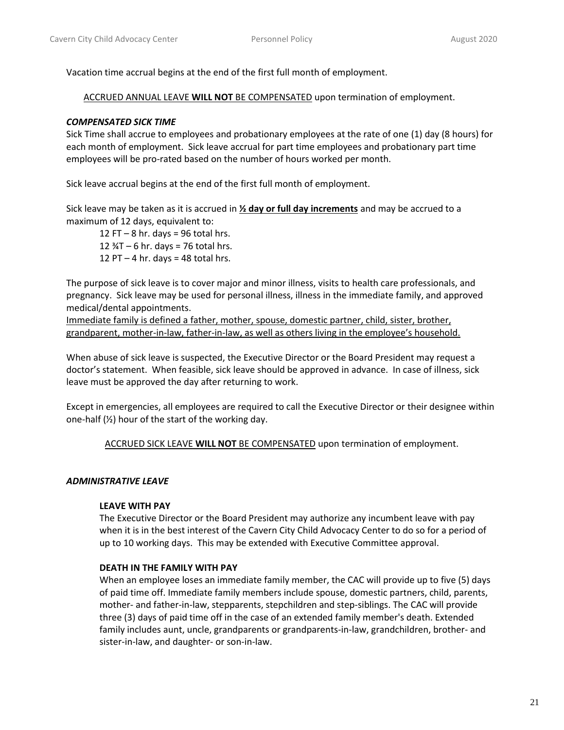Vacation time accrual begins at the end of the first full month of employment.

ACCRUED ANNUAL LEAVE **WILL NOT** BE COMPENSATED upon termination of employment.

### *COMPENSATED SICK TIME*

Sick Time shall accrue to employees and probationary employees at the rate of one (1) day (8 hours) for each month of employment. Sick leave accrual for part time employees and probationary part time employees will be pro-rated based on the number of hours worked per month.

Sick leave accrual begins at the end of the first full month of employment.

Sick leave may be taken as it is accrued in **½ day or full day increments** and may be accrued to a maximum of 12 days, equivalent to:

12 FT  $-$  8 hr. days = 96 total hrs. 12  $\frac{3}{4}T - 6$  hr. days = 76 total hrs. 12 PT  $-$  4 hr. days = 48 total hrs.

The purpose of sick leave is to cover major and minor illness, visits to health care professionals, and pregnancy. Sick leave may be used for personal illness, illness in the immediate family, and approved medical/dental appointments.

Immediate family is defined a father, mother, spouse, domestic partner, child, sister, brother, grandparent, mother-in-law, father-in-law, as well as others living in the employee's household.

When abuse of sick leave is suspected, the Executive Director or the Board President may request a doctor's statement. When feasible, sick leave should be approved in advance. In case of illness, sick leave must be approved the day after returning to work.

Except in emergencies, all employees are required to call the Executive Director or their designee within one-half  $(\frac{1}{2})$  hour of the start of the working day.

ACCRUED SICK LEAVE **WILL NOT** BE COMPENSATED upon termination of employment.

### *ADMINISTRATIVE LEAVE*

#### **LEAVE WITH PAY**

The Executive Director or the Board President may authorize any incumbent leave with pay when it is in the best interest of the Cavern City Child Advocacy Center to do so for a period of up to 10 working days. This may be extended with Executive Committee approval.

### **DEATH IN THE FAMILY WITH PAY**

When an employee loses an immediate family member, the CAC will provide up to five (5) days of paid time off. Immediate family members include spouse, domestic partners, child, parents, mother- and father-in-law, stepparents, stepchildren and step-siblings. The CAC will provide three (3) days of paid time off in the case of an extended family member's death. Extended family includes aunt, uncle, grandparents or grandparents-in-law, grandchildren, brother- and sister-in-law, and daughter- or son-in-law.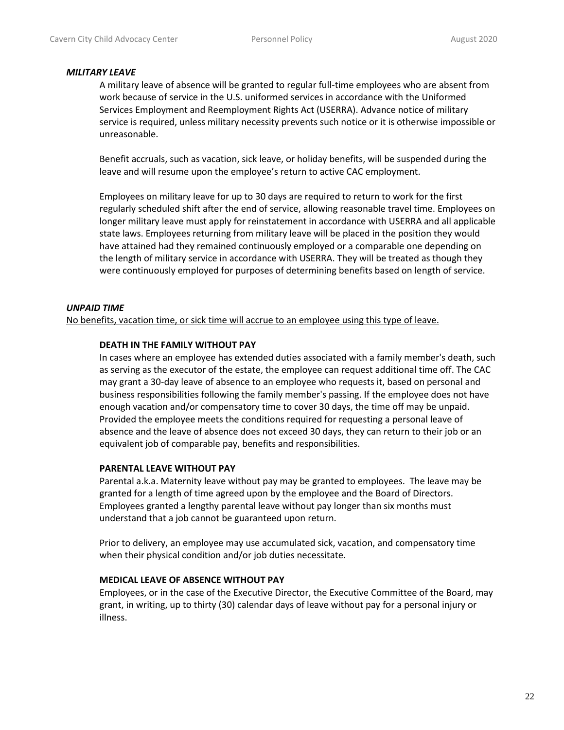#### *MILITARY LEAVE*

A military leave of absence will be granted to regular full-time employees who are absent from work because of service in the U.S. uniformed services in accordance with the Uniformed Services Employment and Reemployment Rights Act (USERRA). Advance notice of military service is required, unless military necessity prevents such notice or it is otherwise impossible or unreasonable.

Benefit accruals, such as vacation, sick leave, or holiday benefits, will be suspended during the leave and will resume upon the employee's return to active CAC employment.

Employees on military leave for up to 30 days are required to return to work for the first regularly scheduled shift after the end of service, allowing reasonable travel time. Employees on longer military leave must apply for reinstatement in accordance with USERRA and all applicable state laws. Employees returning from military leave will be placed in the position they would have attained had they remained continuously employed or a comparable one depending on the length of military service in accordance with USERRA. They will be treated as though they were continuously employed for purposes of determining benefits based on length of service.

### *UNPAID TIME*

No benefits, vacation time, or sick time will accrue to an employee using this type of leave.

### **DEATH IN THE FAMILY WITHOUT PAY**

In cases where an employee has extended duties associated with a family member's death, such as serving as the executor of the estate, the employee can request additional time off. The CAC may grant a 30-day leave of absence to an employee who requests it, based on personal and business responsibilities following the family member's passing. If the employee does not have enough vacation and/or compensatory time to cover 30 days, the time off may be unpaid. Provided the employee meets the conditions required for requesting a personal leave of absence and the leave of absence does not exceed 30 days, they can return to their job or an equivalent job of comparable pay, benefits and responsibilities.

#### **PARENTAL LEAVE WITHOUT PAY**

Parental a.k.a. Maternity leave without pay may be granted to employees. The leave may be granted for a length of time agreed upon by the employee and the Board of Directors. Employees granted a lengthy parental leave without pay longer than six months must understand that a job cannot be guaranteed upon return.

Prior to delivery, an employee may use accumulated sick, vacation, and compensatory time when their physical condition and/or job duties necessitate.

#### **MEDICAL LEAVE OF ABSENCE WITHOUT PAY**

Employees, or in the case of the Executive Director, the Executive Committee of the Board, may grant, in writing, up to thirty (30) calendar days of leave without pay for a personal injury or illness.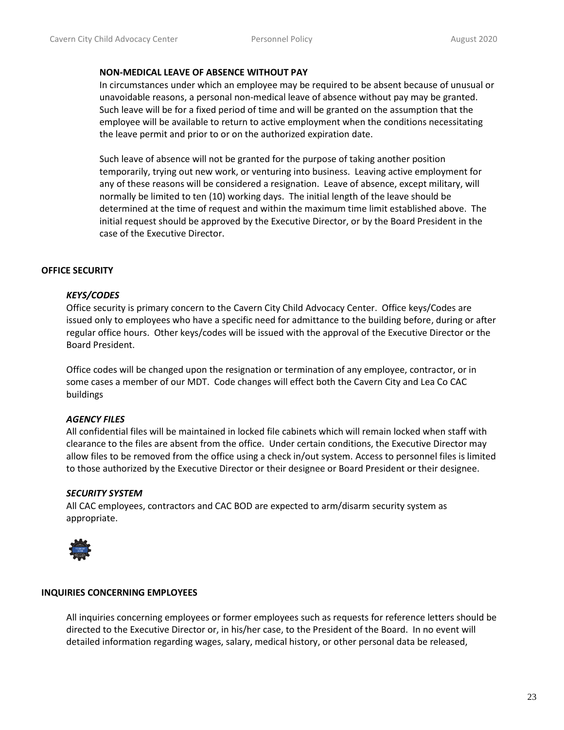#### **NON-MEDICAL LEAVE OF ABSENCE WITHOUT PAY**

In circumstances under which an employee may be required to be absent because of unusual or unavoidable reasons, a personal non-medical leave of absence without pay may be granted. Such leave will be for a fixed period of time and will be granted on the assumption that the employee will be available to return to active employment when the conditions necessitating the leave permit and prior to or on the authorized expiration date.

Such leave of absence will not be granted for the purpose of taking another position temporarily, trying out new work, or venturing into business. Leaving active employment for any of these reasons will be considered a resignation. Leave of absence, except military, will normally be limited to ten (10) working days. The initial length of the leave should be determined at the time of request and within the maximum time limit established above. The initial request should be approved by the Executive Director, or by the Board President in the case of the Executive Director.

### **OFFICE SECURITY**

### *KEYS/CODES*

Office security is primary concern to the Cavern City Child Advocacy Center. Office keys/Codes are issued only to employees who have a specific need for admittance to the building before, during or after regular office hours. Other keys/codes will be issued with the approval of the Executive Director or the Board President.

Office codes will be changed upon the resignation or termination of any employee, contractor, or in some cases a member of our MDT. Code changes will effect both the Cavern City and Lea Co CAC buildings

#### *AGENCY FILES*

All confidential files will be maintained in locked file cabinets which will remain locked when staff with clearance to the files are absent from the office. Under certain conditions, the Executive Director may allow files to be removed from the office using a check in/out system. Access to personnel files is limited to those authorized by the Executive Director or their designee or Board President or their designee.

#### *SECURITY SYSTEM*

All CAC employees, contractors and CAC BOD are expected to arm/disarm security system as appropriate.



### **INQUIRIES CONCERNING EMPLOYEES**

All inquiries concerning employees or former employees such as requests for reference letters should be directed to the Executive Director or, in his/her case, to the President of the Board. In no event will detailed information regarding wages, salary, medical history, or other personal data be released,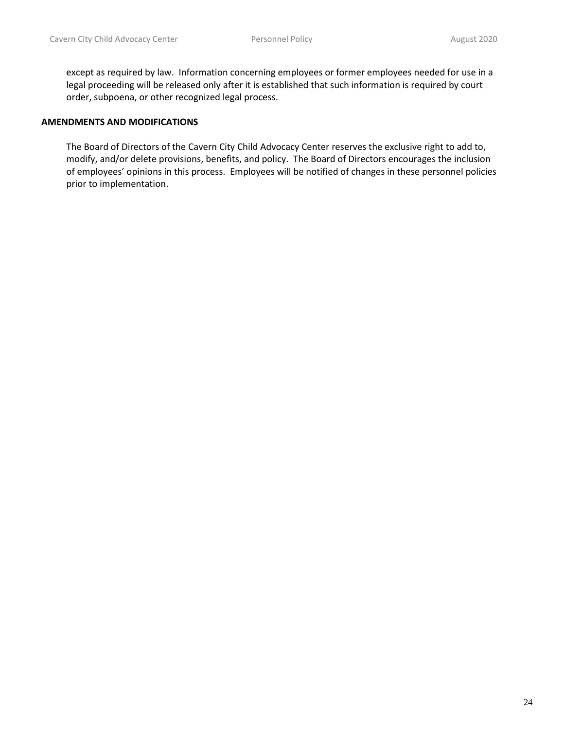except as required by law. Information concerning employees or former employees needed for use in a legal proceeding will be released only after it is established that such information is required by court order, subpoena, or other recognized legal process.

#### **AMENDMENTS AND MODIFICATIONS**

The Board of Directors of the Cavern City Child Advocacy Center reserves the exclusive right to add to, modify, and/or delete provisions, benefits, and policy. The Board of Directors encourages the inclusion of employees' opinions in this process. Employees will be notified of changes in these personnel policies prior to implementation.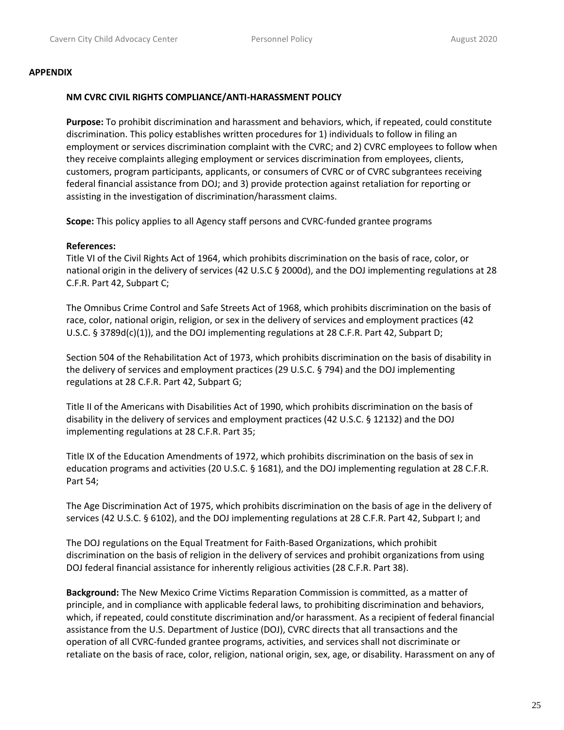#### **APPENDIX**

#### **NM CVRC CIVIL RIGHTS COMPLIANCE/ANTI-HARASSMENT POLICY**

**Purpose:** To prohibit discrimination and harassment and behaviors, which, if repeated, could constitute discrimination. This policy establishes written procedures for 1) individuals to follow in filing an employment or services discrimination complaint with the CVRC; and 2) CVRC employees to follow when they receive complaints alleging employment or services discrimination from employees, clients, customers, program participants, applicants, or consumers of CVRC or of CVRC subgrantees receiving federal financial assistance from DOJ; and 3) provide protection against retaliation for reporting or assisting in the investigation of discrimination/harassment claims.

**Scope:** This policy applies to all Agency staff persons and CVRC-funded grantee programs

### **References:**

Title VI of the Civil Rights Act of 1964, which prohibits discrimination on the basis of race, color, or national origin in the delivery of services (42 U.S.C § 2000d), and the DOJ implementing regulations at 28 C.F.R. Part 42, Subpart C;

The Omnibus Crime Control and Safe Streets Act of 1968, which prohibits discrimination on the basis of race, color, national origin, religion, or sex in the delivery of services and employment practices (42 U.S.C. § 3789d(c)(1)), and the DOJ implementing regulations at 28 C.F.R. Part 42, Subpart D;

Section 504 of the Rehabilitation Act of 1973, which prohibits discrimination on the basis of disability in the delivery of services and employment practices (29 U.S.C. § 794) and the DOJ implementing regulations at 28 C.F.R. Part 42, Subpart G;

Title II of the Americans with Disabilities Act of 1990, which prohibits discrimination on the basis of disability in the delivery of services and employment practices (42 U.S.C. § 12132) and the DOJ implementing regulations at 28 C.F.R. Part 35;

Title IX of the Education Amendments of 1972, which prohibits discrimination on the basis of sex in education programs and activities (20 U.S.C. § 1681), and the DOJ implementing regulation at 28 C.F.R. Part 54;

The Age Discrimination Act of 1975, which prohibits discrimination on the basis of age in the delivery of services (42 U.S.C. § 6102), and the DOJ implementing regulations at 28 C.F.R. Part 42, Subpart I; and

The DOJ regulations on the Equal Treatment for Faith-Based Organizations, which prohibit discrimination on the basis of religion in the delivery of services and prohibit organizations from using DOJ federal financial assistance for inherently religious activities (28 C.F.R. Part 38).

**Background:** The New Mexico Crime Victims Reparation Commission is committed, as a matter of principle, and in compliance with applicable federal laws, to prohibiting discrimination and behaviors, which, if repeated, could constitute discrimination and/or harassment. As a recipient of federal financial assistance from the U.S. Department of Justice (DOJ), CVRC directs that all transactions and the operation of all CVRC-funded grantee programs, activities, and services shall not discriminate or retaliate on the basis of race, color, religion, national origin, sex, age, or disability. Harassment on any of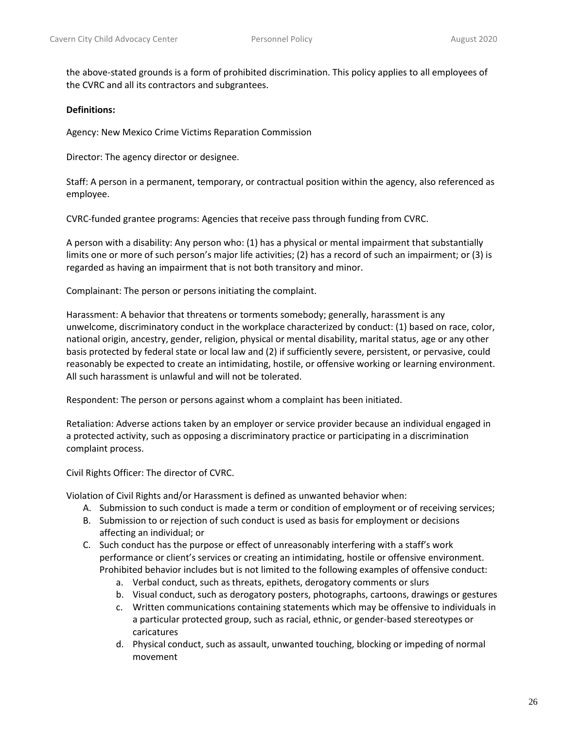the above-stated grounds is a form of prohibited discrimination. This policy applies to all employees of the CVRC and all its contractors and subgrantees.

#### **Definitions:**

Agency: New Mexico Crime Victims Reparation Commission

Director: The agency director or designee.

Staff: A person in a permanent, temporary, or contractual position within the agency, also referenced as employee.

CVRC-funded grantee programs: Agencies that receive pass through funding from CVRC.

A person with a disability: Any person who: (1) has a physical or mental impairment that substantially limits one or more of such person's major life activities; (2) has a record of such an impairment; or (3) is regarded as having an impairment that is not both transitory and minor.

Complainant: The person or persons initiating the complaint.

Harassment: A behavior that threatens or torments somebody; generally, harassment is any unwelcome, discriminatory conduct in the workplace characterized by conduct: (1) based on race, color, national origin, ancestry, gender, religion, physical or mental disability, marital status, age or any other basis protected by federal state or local law and (2) if sufficiently severe, persistent, or pervasive, could reasonably be expected to create an intimidating, hostile, or offensive working or learning environment. All such harassment is unlawful and will not be tolerated.

Respondent: The person or persons against whom a complaint has been initiated.

Retaliation: Adverse actions taken by an employer or service provider because an individual engaged in a protected activity, such as opposing a discriminatory practice or participating in a discrimination complaint process.

Civil Rights Officer: The director of CVRC.

Violation of Civil Rights and/or Harassment is defined as unwanted behavior when:

- A. Submission to such conduct is made a term or condition of employment or of receiving services;
- B. Submission to or rejection of such conduct is used as basis for employment or decisions affecting an individual; or
- C. Such conduct has the purpose or effect of unreasonably interfering with a staff's work performance or client's services or creating an intimidating, hostile or offensive environment. Prohibited behavior includes but is not limited to the following examples of offensive conduct:
	- a. Verbal conduct, such as threats, epithets, derogatory comments or slurs
	- b. Visual conduct, such as derogatory posters, photographs, cartoons, drawings or gestures
	- c. Written communications containing statements which may be offensive to individuals in a particular protected group, such as racial, ethnic, or gender-based stereotypes or caricatures
	- d. Physical conduct, such as assault, unwanted touching, blocking or impeding of normal movement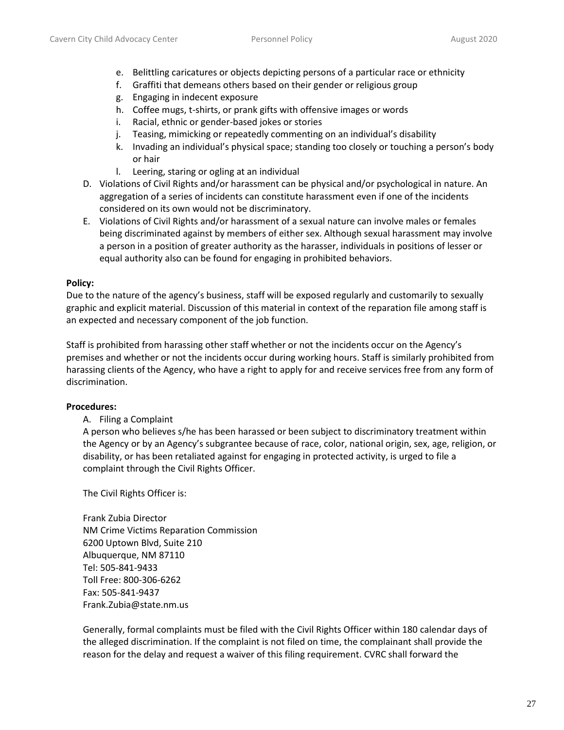- e. Belittling caricatures or objects depicting persons of a particular race or ethnicity
- f. Graffiti that demeans others based on their gender or religious group
- g. Engaging in indecent exposure
- h. Coffee mugs, t-shirts, or prank gifts with offensive images or words
- i. Racial, ethnic or gender-based jokes or stories
- j. Teasing, mimicking or repeatedly commenting on an individual's disability
- k. Invading an individual's physical space; standing too closely or touching a person's body or hair
- l. Leering, staring or ogling at an individual
- D. Violations of Civil Rights and/or harassment can be physical and/or psychological in nature. An aggregation of a series of incidents can constitute harassment even if one of the incidents considered on its own would not be discriminatory.
- E. Violations of Civil Rights and/or harassment of a sexual nature can involve males or females being discriminated against by members of either sex. Although sexual harassment may involve a person in a position of greater authority as the harasser, individuals in positions of lesser or equal authority also can be found for engaging in prohibited behaviors.

### **Policy:**

Due to the nature of the agency's business, staff will be exposed regularly and customarily to sexually graphic and explicit material. Discussion of this material in context of the reparation file among staff is an expected and necessary component of the job function.

Staff is prohibited from harassing other staff whether or not the incidents occur on the Agency's premises and whether or not the incidents occur during working hours. Staff is similarly prohibited from harassing clients of the Agency, who have a right to apply for and receive services free from any form of discrimination.

### **Procedures:**

A. Filing a Complaint

A person who believes s/he has been harassed or been subject to discriminatory treatment within the Agency or by an Agency's subgrantee because of race, color, national origin, sex, age, religion, or disability, or has been retaliated against for engaging in protected activity, is urged to file a complaint through the Civil Rights Officer.

The Civil Rights Officer is:

Frank Zubia Director NM Crime Victims Reparation Commission 6200 Uptown Blvd, Suite 210 Albuquerque, NM 87110 Tel: 505-841-9433 Toll Free: 800-306-6262 Fax: 505-841-9437 Frank.Zubia@state.nm.us

Generally, formal complaints must be filed with the Civil Rights Officer within 180 calendar days of the alleged discrimination. If the complaint is not filed on time, the complainant shall provide the reason for the delay and request a waiver of this filing requirement. CVRC shall forward the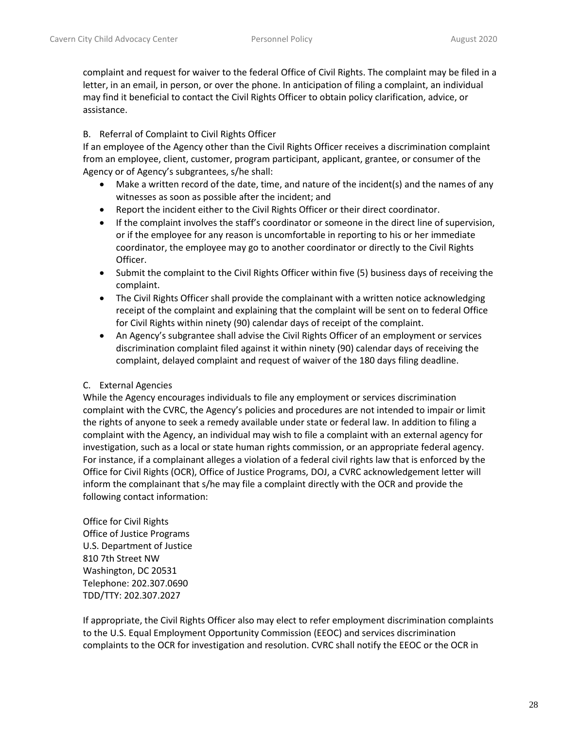complaint and request for waiver to the federal Office of Civil Rights. The complaint may be filed in a letter, in an email, in person, or over the phone. In anticipation of filing a complaint, an individual may find it beneficial to contact the Civil Rights Officer to obtain policy clarification, advice, or assistance.

### B. Referral of Complaint to Civil Rights Officer

If an employee of the Agency other than the Civil Rights Officer receives a discrimination complaint from an employee, client, customer, program participant, applicant, grantee, or consumer of the Agency or of Agency's subgrantees, s/he shall:

- Make a written record of the date, time, and nature of the incident(s) and the names of any witnesses as soon as possible after the incident; and
- Report the incident either to the Civil Rights Officer or their direct coordinator.
- If the complaint involves the staff's coordinator or someone in the direct line of supervision, or if the employee for any reason is uncomfortable in reporting to his or her immediate coordinator, the employee may go to another coordinator or directly to the Civil Rights Officer.
- Submit the complaint to the Civil Rights Officer within five (5) business days of receiving the complaint.
- The Civil Rights Officer shall provide the complainant with a written notice acknowledging receipt of the complaint and explaining that the complaint will be sent on to federal Office for Civil Rights within ninety (90) calendar days of receipt of the complaint.
- An Agency's subgrantee shall advise the Civil Rights Officer of an employment or services discrimination complaint filed against it within ninety (90) calendar days of receiving the complaint, delayed complaint and request of waiver of the 180 days filing deadline.

# C. External Agencies

While the Agency encourages individuals to file any employment or services discrimination complaint with the CVRC, the Agency's policies and procedures are not intended to impair or limit the rights of anyone to seek a remedy available under state or federal law. In addition to filing a complaint with the Agency, an individual may wish to file a complaint with an external agency for investigation, such as a local or state human rights commission, or an appropriate federal agency. For instance, if a complainant alleges a violation of a federal civil rights law that is enforced by the Office for Civil Rights (OCR), Office of Justice Programs, DOJ, a CVRC acknowledgement letter will inform the complainant that s/he may file a complaint directly with the OCR and provide the following contact information:

Office for Civil Rights Office of Justice Programs U.S. Department of Justice 810 7th Street NW Washington, DC 20531 Telephone: 202.307.0690 TDD/TTY: 202.307.2027

If appropriate, the Civil Rights Officer also may elect to refer employment discrimination complaints to the U.S. Equal Employment Opportunity Commission (EEOC) and services discrimination complaints to the OCR for investigation and resolution. CVRC shall notify the EEOC or the OCR in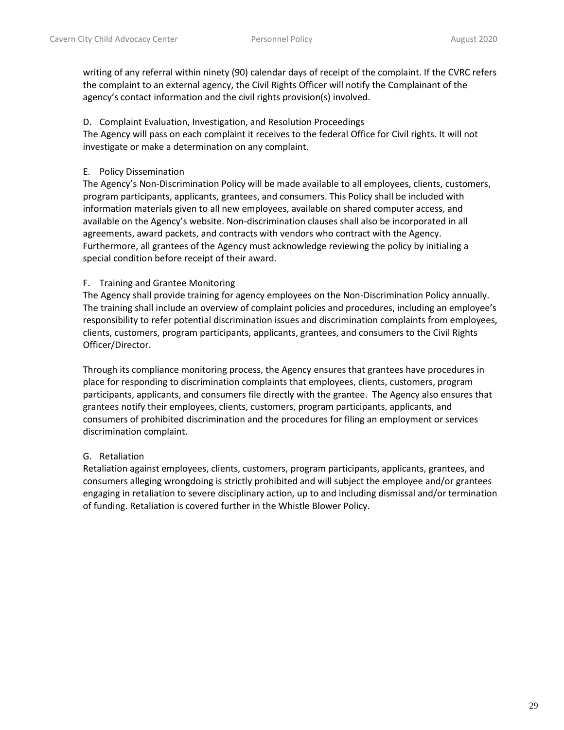writing of any referral within ninety (90) calendar days of receipt of the complaint. If the CVRC refers the complaint to an external agency, the Civil Rights Officer will notify the Complainant of the agency's contact information and the civil rights provision(s) involved.

### D. Complaint Evaluation, Investigation, and Resolution Proceedings

The Agency will pass on each complaint it receives to the federal Office for Civil rights. It will not investigate or make a determination on any complaint.

## E. Policy Dissemination

The Agency's Non-Discrimination Policy will be made available to all employees, clients, customers, program participants, applicants, grantees, and consumers. This Policy shall be included with information materials given to all new employees, available on shared computer access, and available on the Agency's website. Non-discrimination clauses shall also be incorporated in all agreements, award packets, and contracts with vendors who contract with the Agency. Furthermore, all grantees of the Agency must acknowledge reviewing the policy by initialing a special condition before receipt of their award.

## F. Training and Grantee Monitoring

The Agency shall provide training for agency employees on the Non-Discrimination Policy annually. The training shall include an overview of complaint policies and procedures, including an employee's responsibility to refer potential discrimination issues and discrimination complaints from employees, clients, customers, program participants, applicants, grantees, and consumers to the Civil Rights Officer/Director.

Through its compliance monitoring process, the Agency ensures that grantees have procedures in place for responding to discrimination complaints that employees, clients, customers, program participants, applicants, and consumers file directly with the grantee. The Agency also ensures that grantees notify their employees, clients, customers, program participants, applicants, and consumers of prohibited discrimination and the procedures for filing an employment or services discrimination complaint.

# G. Retaliation

Retaliation against employees, clients, customers, program participants, applicants, grantees, and consumers alleging wrongdoing is strictly prohibited and will subject the employee and/or grantees engaging in retaliation to severe disciplinary action, up to and including dismissal and/or termination of funding. Retaliation is covered further in the Whistle Blower Policy.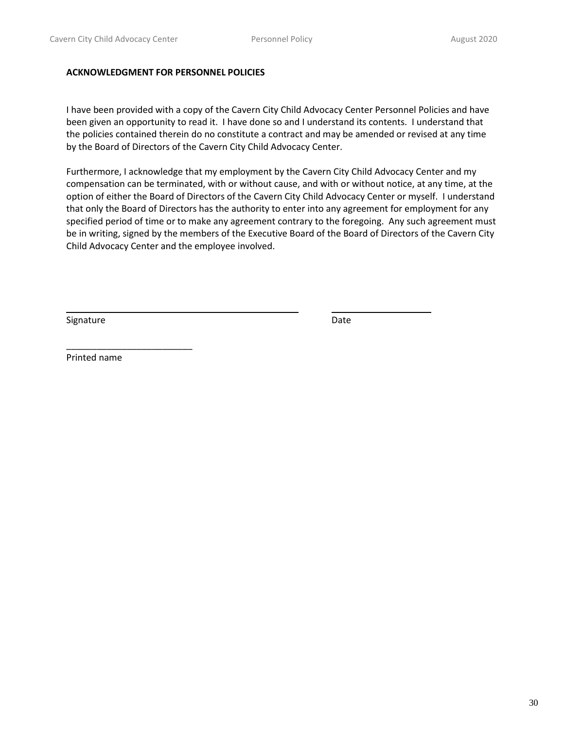#### **ACKNOWLEDGMENT FOR PERSONNEL POLICIES**

I have been provided with a copy of the Cavern City Child Advocacy Center Personnel Policies and have been given an opportunity to read it. I have done so and I understand its contents. I understand that the policies contained therein do no constitute a contract and may be amended or revised at any time by the Board of Directors of the Cavern City Child Advocacy Center.

Furthermore, I acknowledge that my employment by the Cavern City Child Advocacy Center and my compensation can be terminated, with or without cause, and with or without notice, at any time, at the option of either the Board of Directors of the Cavern City Child Advocacy Center or myself. I understand that only the Board of Directors has the authority to enter into any agreement for employment for any specified period of time or to make any agreement contrary to the foregoing. Any such agreement must be in writing, signed by the members of the Executive Board of the Board of Directors of the Cavern City Child Advocacy Center and the employee involved.

Signature Date Date Date Date Date

Printed name

\_\_\_\_\_\_\_\_\_\_\_\_\_\_\_\_\_\_\_\_\_\_\_\_\_